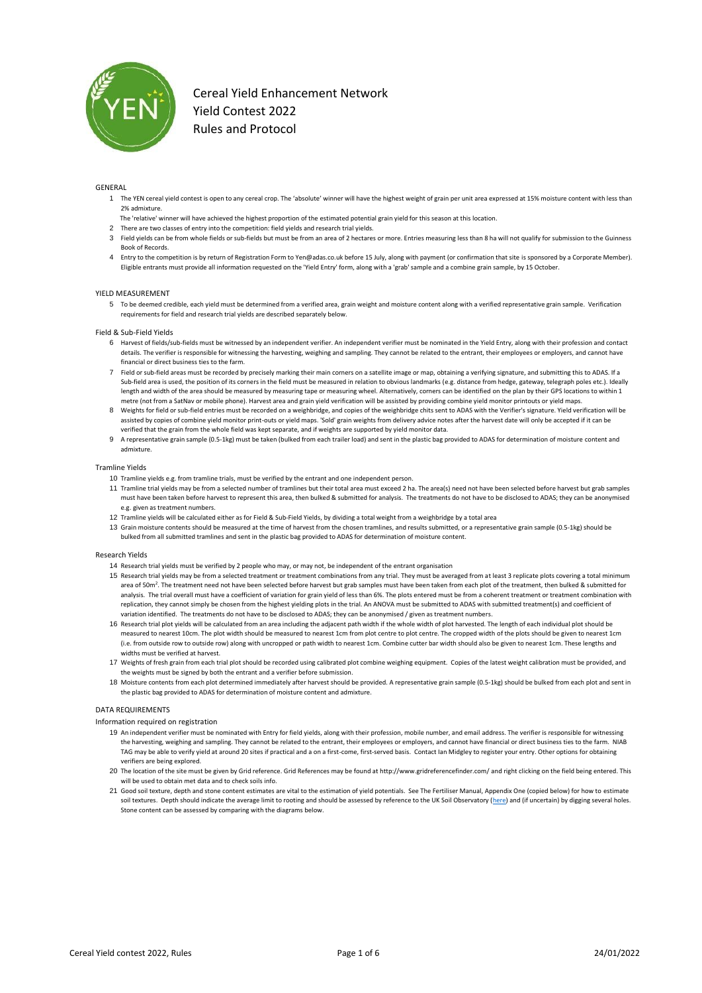

#### GENERAL

- 1 The YEN cereal yield contest is open to any cereal crop. The 'absolute' winner will have the highest weight of grain per unit area expressed at 15% moisture content with less than 2% admixture.
- The 'relative' winner will have achieved the highest proportion of the estimated potential grain yield for this season at this location.
- 2 There are two classes of entry into the competition: field yields and research trial yields.
- 3 Field yields can be from whole fields or sub-fields but must be from an area of 2 hectares or more. Entries measuring less than 8 ha will not qualify for submission to the Guinness Book of Records.
- 4 Entry to the competition is by return of Registration Form to Yen@adas.co.uk before 15 July, along with payment (or confirmation that site is sponsored by a Corporate Member). Eligible entrants must provide all information requested on the 'Yield Entry' form, along with a 'grab' sample and a combine grain sample, by 15 October.

#### YIELD MEASUREMENT

5 To be deemed credible, each yield must be determined from a verified area, grain weight and moisture content along with a verified representative grain sample. Verification requirements for field and research trial yields are described separately below.

#### Field & Sub-Field Yields

- 6 Harvest of fields/sub-fields must be witnessed by an independent verifier. An independent verifier must be nominated in the Yield Entry, along with their profession and contact details. The verifier is responsible for witnessing the harvesting, weighing and sampling. They cannot be related to the entrant, their employees or employers, and cannot have financial or direct business ties to the farm.
- 7 Field or sub-field areas must be recorded by precisely marking their main corners on a satellite image or map, obtaining a verifying signature, and submitting this to ADAS. If a Sub-field area is used, the position of its corners in the field must be measured in relation to obvious landmarks (e.g. distance from hedge, gateway, telegraph poles etc.). Ideally length and width of the area should be measured by measuring tape or measuring wheel. Alternatively, corners can be identified on the plan by their GPS locations to within 1 metre (not from a SatNav or mobile phone). Harvest area and grain yield verification will be assisted by providing combine yield monitor printouts or yield maps.
- 8 Weights for field or sub-field entries must be recorded on a weighbridge, and copies of the weighbridge chits sent to ADAS with the Verifier's signature. Yield verification will be assisted by copies of combine yield monitor print-outs or yield maps. 'Sold' grain weights from delivery advice notes after the harvest date will only be accepted if it can be verified that the grain from the whole field was kept separate, and if weights are supported by yield monitor data.
- 9 A representative grain sample (0.5-1kg) must be taken (bulked from each trailer load) and sent in the plastic bag provided to ADAS for determination of moisture content and admixture.

#### Tramline Yields

- 10 Tramline yields e.g. from tramline trials, must be verified by the entrant and one independent person.
- 11 Tramline trial yields may be from a selected number of tramlines but their total area must exceed 2 ha. The area(s) need not have been selected before harvest but grab samples must have been taken before harvest to represent this area, then bulked & submitted for analysis. The treatments do not have to be disclosed to ADAS; they can be anonymised e.g. given as treatment numbers.
- 12 Tramline yields will be calculated either as for Field & Sub-Field Yields, by dividing a total weight from a weighbridge by a total area
- 13 Grain moisture contents should be measured at the time of harvest from the chosen tramlines, and results submitted, or a representative grain sample (0.5-1kg) should be bulked from all submitted tramlines and sent in the plastic bag provided to ADAS for determination of moisture content.

#### Research Yields

- 14 Research trial yields must be verified by 2 people who may, or may not, be independent of the entrant organisation
- 15 Research trial yields may be from a selected treatment or treatment combinations from any trial. They must be averaged from at least 3 replicate plots covering a total minimum area of 50m<sup>2</sup>. The treatment need not have been selected before harvest but grab samples must have been taken from each plot of the treatment, then bulked & submitted for analysis. The trial overall must have a coefficient of variation for grain yield of less than 6%. The plots entered must be from a coherent treatment or treatment combination with replication, they cannot simply be chosen from the highest yielding plots in the trial. An ANOVA must be submitted to ADAS with submitted treatment(s) and coefficient of variation identified. The treatments do not have to be disclosed to ADAS; they can be anonymised / given as treatment numbers.
- 16 Research trial plot yields will be calculated from an area including the adjacent path width if the whole width of plot harvested. The length of each individual plot should be measured to nearest 10cm. The plot width should be measured to nearest 1cm from plot centre to plot centre. The cropped width of the plots should be given to nearest 1cm (i.e. from outside row to outside row) along with uncropped or path width to nearest 1cm. Combine cutter bar width should also be given to nearest 1cm. These lengths and widths must be verified at harvest.
- 17 Weights of fresh grain from each trial plot should be recorded using calibrated plot combine weighing equipment. Copies of the latest weight calibration must be provided, and the weights must be signed by both the entrant and a verifier before submission.
- 18 Moisture contents from each plot determined immediately after harvest should be provided. A representative grain sample (0.5-1kg) should be bulked from each plot and sent in the plastic bag provided to ADAS for determination of moisture content and admixture.

#### DATA REQUIREMENTS

Information required on registration

- 19 An independent verifier must be nominated with Entry for field yields, along with their profession, mobile number, and email address. The verifier is responsible for witnessing the harvesting, weighing and sampling. They cannot be related to the entrant, their employees or employers, and cannot have financial or direct business ties to the farm. NIAB TAG may be able to verify yield at around 20 sites if practical and a on a first-come, first-served basis. Contact Ian Midgley to register your entry. Other options for obtaining verifiers are being explored.
- 20 The location of the site must be given by Grid reference. Grid References may be found at http://www.gridreferencefinder.com/ and right clicking on the field being entered. This will be used to obtain met data and to check soils info.
- 21 Good soil texture, depth and stone content estimates are vital to the estimation of yield potentials. See The Fertiliser Manual, Appendix One (copied below) for how to estimate soil textures. Depth should indicate the average limit to rooting and should be assessed by reference to the UK Soil Observatory [\(here\)](http://mapapps2.bgs.ac.uk/ukso/home.html) and (if uncertain) by digging several holes. Stone content can be assessed by comparing with the diagrams below.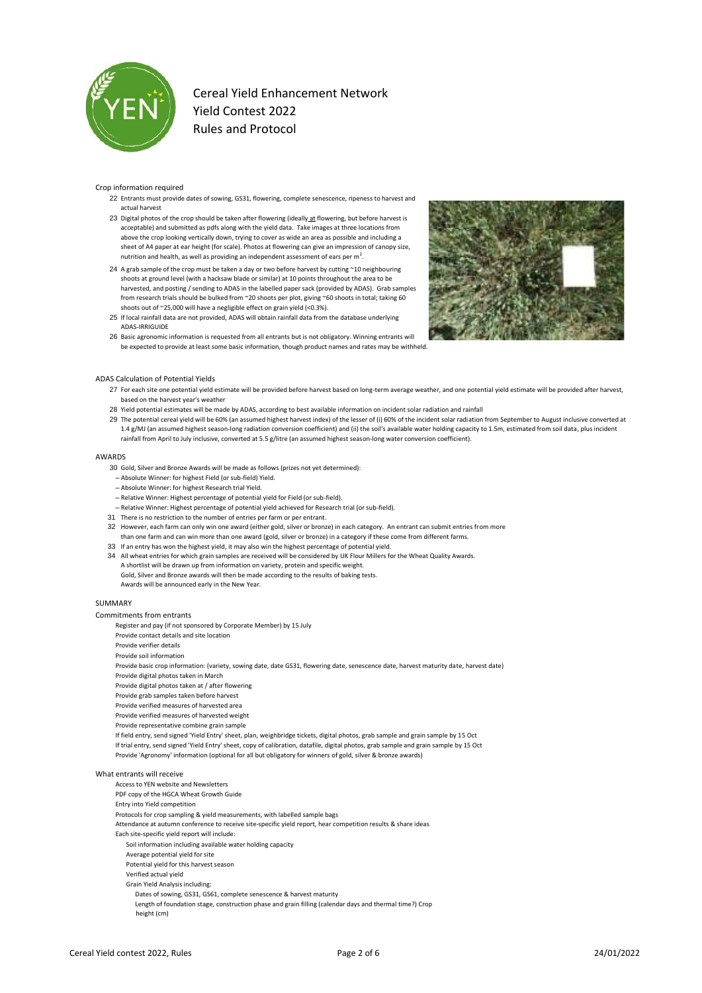

#### Crop information required

- 22 Entrants must provide dates of sowing, GS31, flowering, complete senescence, ripeness to harvest and actual harvest
- 23 Digital photos of the crop should be taken after flowering (ideally at flowering, but before harvest is acceptable) and submitted as pdfs along with the yield data. Take images at three locations from above the crop looking vertically down, trying to cover as wide an area as possible and including a sheet of A4 paper at ear height (for scale). Photos at flowering can give an impression of canopy size, nutrition and health, as well as providing an independent assessment of ears per  $m^2$ .
- 24 A grab sample of the crop must be taken a day or two before harvest by cutting ~10 neighbouring shoots at ground level (with a hacksaw blade or similar) at 10 points throughout the area to be harvested, and posting / sending to ADAS in the labelled paper sack (provided by ADAS). Grab samples from research trials should be bulked from ~20 shoots per plot, giving ~60 shoots in total; taking 60 shoots out of ~25,000 will have a negligible effect on grain yield (<0.3%).
- 25 If local rainfall data are not provided, ADAS will obtain rainfall data from the database underlying ADAS-IRRIGUIDE



26 Basic agronomic information is requested from all entrants but is not obligatory. Winning entrants will be expected to provide at least some basic information, though product names and rates may be withheld.

#### ADAS Calculation of Potential Yields

- 27 For each site one potential yield estimate will be provided before harvest based on long-term average weather, and one potential yield estimate will be provided after harvest, based on the harvest year's weather
- 28 Yield potential estimates will be made by ADAS, according to best available information on incident solar radiation and rainfall
- 29 The potential cereal yield will be 60% (an assumed highest harvest index) of the lesser of (i) 60% of the incident solar radiation from September to August inclusive converted at 1.4 g/MJ (an assumed highest season-long radiation conversion coefficient) and (ii) the soil's available water holding capacity to 1.5m, estimated from soil data, plus incident rainfall from April to July inclusive, converted at 5.5 g/litre (an assumed highest season-long water conversion coefficient).

#### AWARDS

- 30 Gold, Silver and Bronze Awards will be made as follows (prizes not yet determined):
- Absolute Winner: for highest Field (or sub-field) Yield.
- Absolute Winner: for highest Research trial Yield.
- Relative Winner: Highest percentage of potential yield for Field (or sub-field).
- Relative Winner: Highest percentage of potential yield achieved for Research trial (or sub-field).
- 31 There is no restriction to the number of entries per farm or per entrant.
- 32 However, each farm can only win one award (either gold, silver or bronze) in each category. An entrant can submit entries from more than one farm and can win more than one award (gold, silver or bronze) in a category if these come from different farms.
- 33 If an entry has won the highest yield, it may also win the highest percentage of potential yield. 34 All wheat entries for which grain samples are received will be considered by UK Flour Millers for the Wheat Quality Awards.
- A shortlist will be drawn up from information on variety, protein and specific weight. Gold, Silver and Bronze awards will then be made according to the results of baking tests.

Awards will be announced early in the New Year.

#### SUMMARY

Commitments from entrants

Register and pay (if not sponsored by Corporate Member) by 15 July

- Provide contact details and site location
- Provide verifier details

Provide soil information

- Provide basic crop information: (variety, sowing date, date GS31, flowering date, senescence date, harvest maturity date, harvest date)
- Provide digital photos taken in March
- Provide digital photos taken at / after flowering
- Provide grab samples taken before harvest
- Provide verified measures of harvested area
- Provide verified measures of harvested weight
- Provide representative combine grain sample
- If field entry, send signed 'Yield Entry' sheet, plan, weighbridge tickets, digital photos, grab sample and grain sample by 15 Oct If trial entry, send signed 'Yield Entry' sheet, copy of calibration, datafile, digital photos, grab sample and grain sample by 15 Oct Provide 'Agronomy' information (optional for all but obligatory for winners of gold, silver & bronze awards)

### What entrants will receive

- Access to YEN website and Newsletters
- PDF copy of the HGCA Wheat Growth Guide
- Entry into Yield competition
- Protocols for crop sampling & yield measurements, with labelled sample bags
- Attendance at autumn conference to receive site-specific yield report, hear competition results & share ideas
- Each site-specific yield report will include:
- Soil information including available water holding capacity
- Average potential yield for site
- Potential yield for this harvest season
- Verified actual yield
- Grain Yield Analysis including:
- Dates of sowing, GS31, GS61, complete senescence & harvest maturity
- Length of foundation stage, construction phase and grain filling (calendar days and thermal time?) Crop height (cm)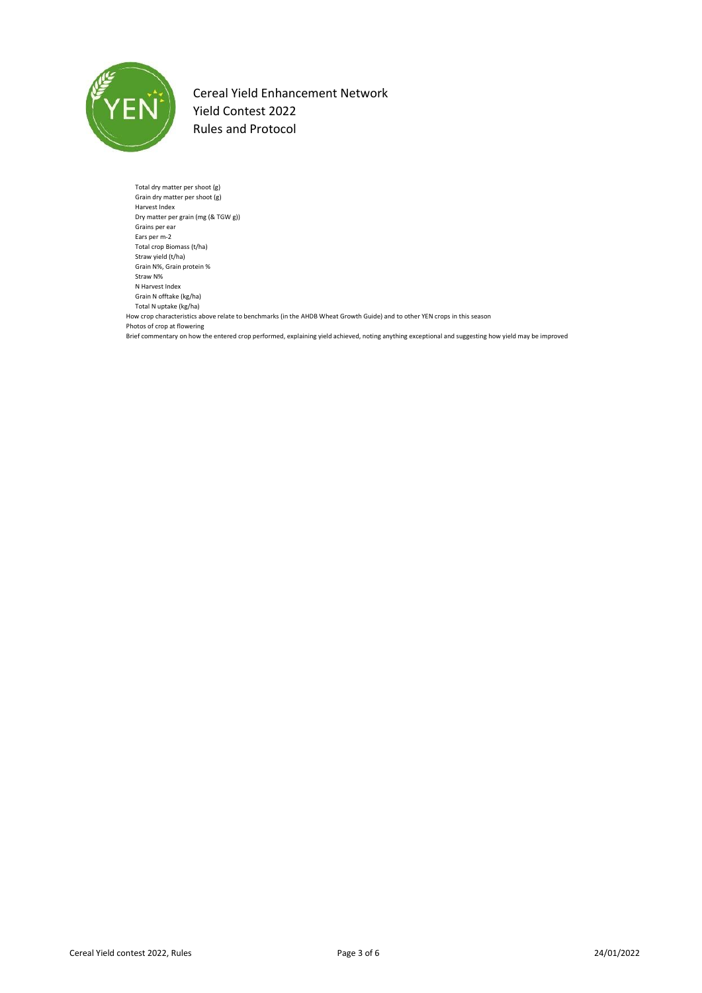

Total dry matter per shoot (g) Grain dry matter per shoot (g) Harvest Index Dry matter per grain (mg (& TGW g)) Grains per ear Ears per m-2 Total crop Biomass (t/ha) Straw yield (t/ha) Grain N%, Grain protein % Straw N% N Harvest Index Grain N offtake (kg/ha) Total N uptake (kg/ha) How crop characteristics above relate to benchmarks (in the AHDB Wheat Growth Guide) and to other YEN crops in this season Photos of crop at flowering Brief commentary on how the entered crop performed, explaining yield achieved, noting anything exceptional and suggesting how yield may be improved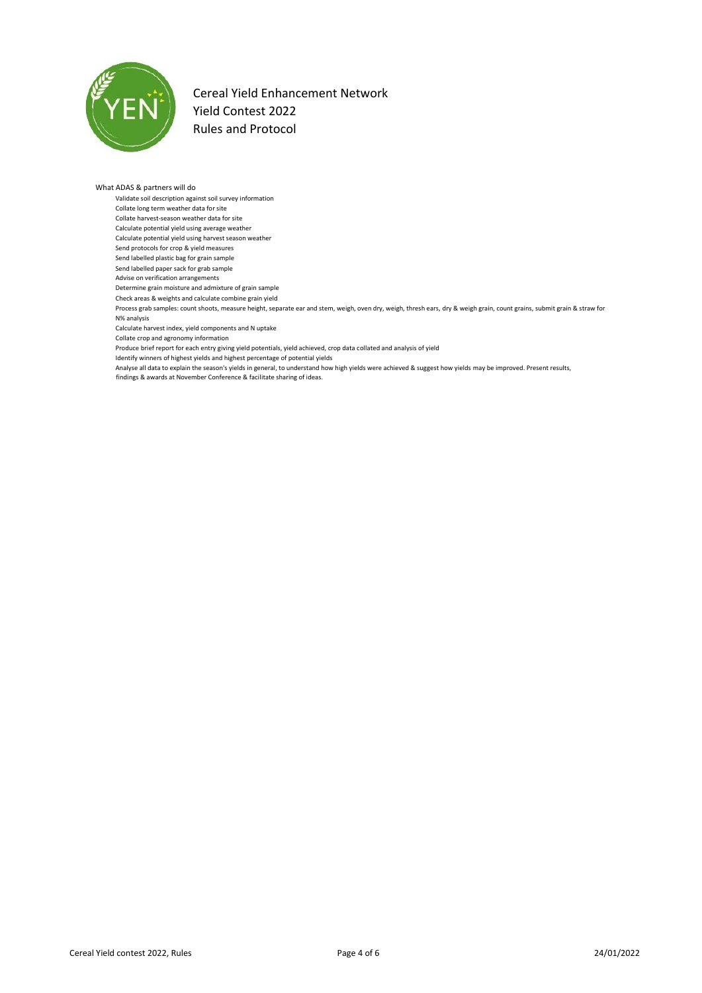

### What ADAS & partners will do

- Validate soil description against soil survey information
- Collate long term weather data for site
- Collate harvest-season weather data for site
- Calculate potential yield using average weather Calculate potential yield using harvest season weather
- Send protocols for crop & yield measures
- Send labelled plastic bag for grain sample
- Send labelled paper sack for grab sample
- Advise on verification arrangements
- Determine grain moisture and admixture of grain sample
- Check areas & weights and calculate combine grain yield
- Process grab samples: count shoots, measure height, separate ear and stem, weigh, oven dry, weigh, thresh ears, dry & weigh grain, count grains, submit grain & straw for N% analysis
- Calculate harvest index, yield components and N uptake
- Collate crop and agronomy information
- Produce brief report for each entry giving yield potentials, yield achieved, crop data collated and analysis of yield
- Identify winners of highest yields and highest percentage of potential yields
- Analyse all data to explain the season's yields in general, to understand how high yields were achieved & suggest how yields may be improved. Present results,
- findings & awards at November Conference & facilitate sharing of ideas.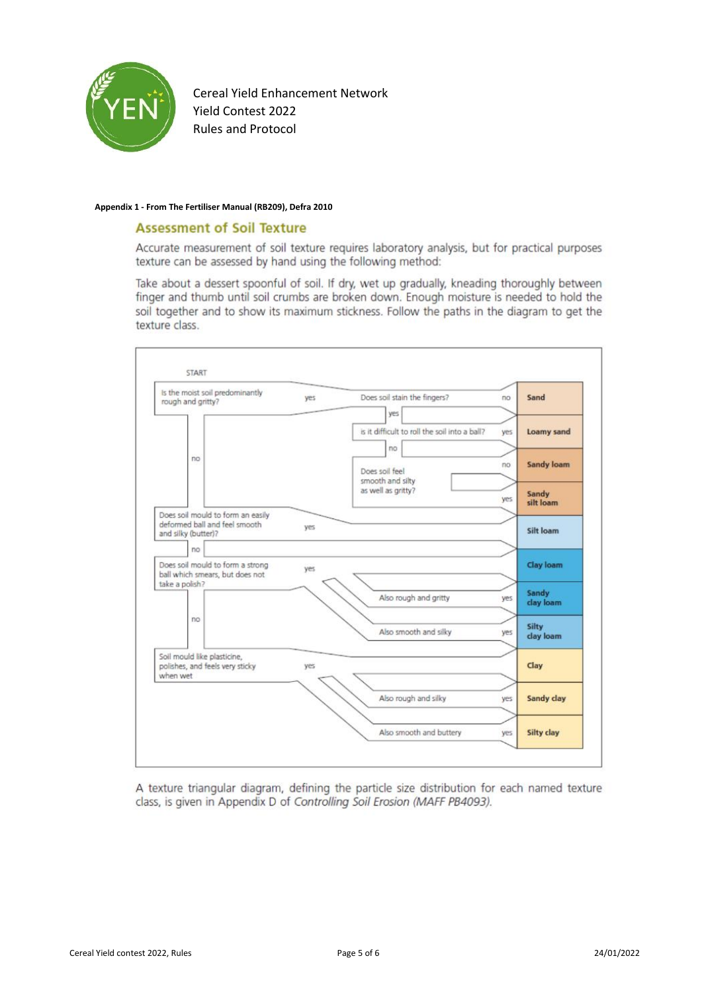

### **Appendix 1 - From The Fertiliser Manual (RB209), Defra 2010**

### **Assessment of Soil Texture**

Accurate measurement of soil texture requires laboratory analysis, but for practical purposes texture can be assessed by hand using the following method:

Take about a dessert spoonful of soil. If dry, wet up gradually, kneading thoroughly between finger and thumb until soil crumbs are broken down. Enough moisture is needed to hold the soil together and to show its maximum stickness. Follow the paths in the diagram to get the texture class.

| is the moist soil predominantly<br>rough and gritty?                                      | yes | Does soil stain the fingers?                  | Sand<br>no                |
|-------------------------------------------------------------------------------------------|-----|-----------------------------------------------|---------------------------|
|                                                                                           |     | yes                                           |                           |
| no                                                                                        |     | is it difficult to roll the soil into a ball? | <b>Loamy sand</b><br>yes. |
|                                                                                           |     | no                                            |                           |
|                                                                                           |     | Does soil feel                                | <b>Sandy loam</b><br>no   |
|                                                                                           |     | smooth and silty<br>as well as gritty?        | Sandy<br>yes<br>silt loam |
| Does soil mould to form an easily<br>deformed ball and feel smooth<br>and silky (butter)? | yes |                                               | Silt loam                 |
| no                                                                                        |     |                                               |                           |
| Does soil mould to form a strong<br>ball which smears, but does not                       | yes |                                               | Clay loam                 |
| take a polish?                                                                            |     | Also rough and gritty                         | Sandy<br>yes<br>clay loam |
| no                                                                                        |     | Also smooth and silky                         | Silty<br>yes<br>clay loam |
| Soil mould like plasticine,<br>polishes, and feels very sticky<br>when wet                | yes |                                               | Clay                      |
|                                                                                           |     | Also rough and silky                          | Sandy clay<br>yes         |
|                                                                                           |     |                                               |                           |

A texture triangular diagram, defining the particle size distribution for each named texture class, is given in Appendix D of Controlling Soil Erosion (MAFF PB4093).